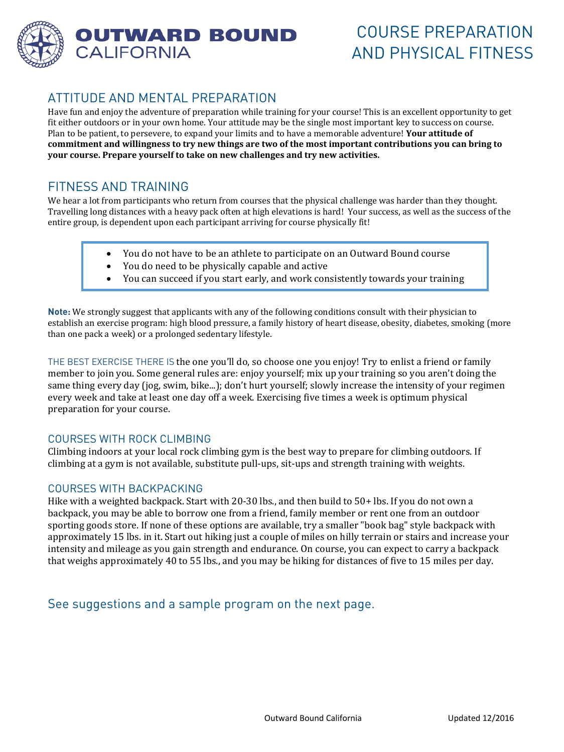

# ATTITUDE AND MENTAL PREPARATION

Have fun and enjoy the adventure of preparation while training for your course! This is an excellent opportunity to get fit either outdoors or in your own home. Your attitude may be the single most important key to success on course. Plan to be patient, to persevere, to expand your limits and to have a memorable adventure! **Your attitude of commitment and willingness to try new things are two of the most important contributions you can bring to your course. Prepare yourself to take on new challenges and try new activities.** 

# FITNESS AND TRAINING

We hear a lot from participants who return from courses that the physical challenge was harder than they thought. Travelling long distances with a heavy pack often at high elevations is hard! Your success, as well as the success of the entire group, is dependent upon each participant arriving for course physically fit!

- You do not have to be an athlete to participate on an Outward Bound course
- You do need to be physically capable and active
- You can succeed if you start early, and work consistently towards your training

**Note:** We strongly suggest that applicants with any of the following conditions consult with their physician to establish an exercise program: high blood pressure, a family history of heart disease, obesity, diabetes, smoking (more than one pack a week) or a prolonged sedentary lifestyle.

THE BEST EXERCISE THERE IS the one you'll do, so choose one you enjoy! Try to enlist a friend or family member to join you. Some general rules are: enjoy yourself; mix up your training so you aren't doing the same thing every day (jog, swim, bike...); don't hurt yourself; slowly increase the intensity of your regimen every week and take at least one day off a week. Exercising five times a week is optimum physical preparation for your course.

### COURSES WITH ROCK CLIMBING

Climbing indoors at your local rock climbing gym is the best way to prepare for climbing outdoors. If climbing at a gym is not available, substitute pull-ups, sit-ups and strength training with weights.

#### COURSES WITH BACKPACKING

Hike with a weighted backpack. Start with 20-30 lbs., and then build to 50+ lbs. If you do not own a backpack, you may be able to borrow one from a friend, family member or rent one from an outdoor sporting goods store. If none of these options are available, try a smaller "book bag" style backpack with approximately 15 lbs. in it. Start out hiking just a couple of miles on hilly terrain or stairs and increase your intensity and mileage as you gain strength and endurance. On course, you can expect to carry a backpack that weighs approximately 40 to 55 lbs., and you may be hiking for distances of five to 15 miles per day.

See suggestions and a sample program on the next page.